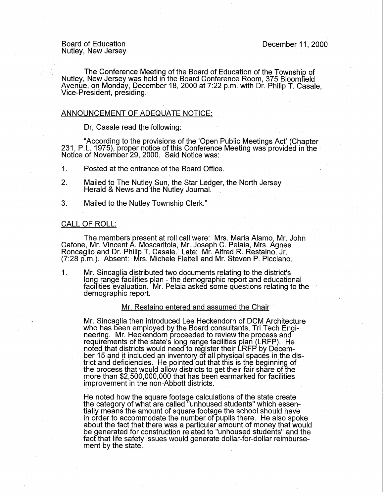#### Board of Education Nutley, New Jersey

The Conference Meeting of the Board of Education of the Township of Nutley, New Jersey was held in the Board Conference Room, 375 Bloomfield Avenue, on Monday, December 18, 2000 at 7:22 p.m. with Dr. Philip T. Casale, Vice-President, presiding.

## ANNOUNCEMENT OF ADEQUATE NOTICE:

Dr, Casale read the following:

"According to the provisions of the 'Open Public Meetings Act' (Chapter 231, P.L. 1975), proper notice of this Conference Meeting was provided in the Notice of November 29, 2000. Said Notice was:

- 1. Posted at the entrance of the Board Office.
- 2. Mailed to The Nutley Sun, the Star Ledger, the North Jersey Herald & News and the Nutley Journal.
- 3. Mailed to the Nutley Township Clerk."

## CALL OF ROLL:

The members present at roll call were: Mrs. Maria Alamo, Mr. John Cafone, Mr. Vincent A. Moscaritola, Mr. Joseph C. Pelaia, Mrs. Agnes Roncaglio and Dr. Philip T. Casale. Late: Mr. Alfred R. Restaino, Jr. (7:28 p.m.). Absent: Mrs. Michele Fleitell and Mr. Steven P. Picciano.

1. Mr. Sincaglia distributed two documents relating to the district's long range facilities plan - the demographic report and educational facilities evaluation. Mr. Pelaia asked some questions relating to the demographic report.

## Mr. Restaino entered and assumed the Chair

Mr. Sincaglia then introduced Lee Heckendorn of DCM Architecture<br>who has been employed by the Board consultants, Tri Tech Engineering. Mr. Heckendorn proceeded to review the process and requirements of the state's long range facilities plan (LRFP). He noted that districts would need to register their LRFP by December 15 and it included an inventory of all physical spaces in the district and deficiencies. He pointed out that tflis is the beginning of the process that would allow districts to get their fair share of the more than \$2,500,000,000 that has been earmarked for facilities improvement in the non-Abbott districts.

He noted how the square footage calculations of the state create the category of what are called 'unhoused students" which essentially means the amount of square footage the school should have in order to accommodate the number of pupils there. He also spoke about the fact that there was a particular amount of money that would be generated for construction related to "unhoused students" and the fact that life safety issues would generate dollar-for-dollar reimbursement by the state.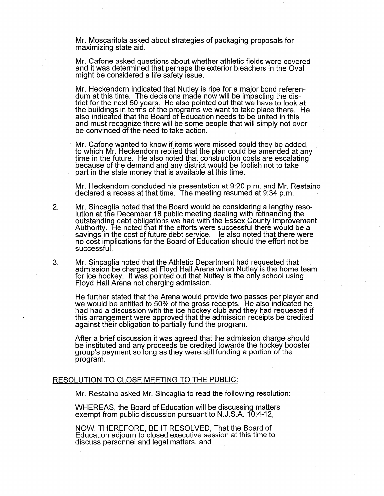Mr. Moscaritola asked about strategies of packaging proposals for maximizing state aid.

Mr. Catone asked questions about whether athletic fields were covered and it was determined that perhaps the exterior bleachers in the Oval might be considered a life safety issue.

Mr. Heckendorn indicated that Nutley is ripe for a major bond referendum at this time. The decisions made now will be impacting the district for the next 50 years. He also pointed out that we have to look at the buildings in terms of the programs we want to take place there. He also indicated that the Board of Education needs to be united in this and must recognize there will be some people that will simply not ever be convinced of the need to take action.

Mr. Cafone wanted to know if items were missed could they be added, to which Mr. Heckendorn replied that the plan could be amended at any time in the future. He also noted that construction costs are escalating because of the demand and any district would be foolish not to take part in the state money that is available at this time.

Mr. Heckendorn concluded his presentation at 9:20 p.m. and Mr. Restaino declared a recess at that time. The meeting resumed at 9:34 p.m.

- 2. Mr. Sincaglia noted that the Board would be considering a lengthy resolution at the December 18 public meeting dealing with refinancing the outstanding debt obligations we had with the Essex County Improvement Authority. He noted that if the efforts were successful there would be a savings in the cost of future debt service. He also noted that there were no cost implications for the Board of Education should the effort not be successful.
- 3. Mr. Sincaglia noted that the Athletic Department had requested that admission be charged at Floyd Hall Arena when Nutley is the home team for ice hockey. It was pointed out that Nutley is the only school using Floyd Hall Arena not charging admission.

He further stated that the Arena would provide two passes per player and we would be entitled to 50% of the gross receipts. He also indicated he had had a discussion with the ice hockey club and they had requested if this arrangement were approved that the admission receipts be credited against their obligation to partially fund the program.

After a brief discussion it was agreed that the admission charge should be instituted and any proceeds be credited towards the hockey booster group's payment so long as they were still funding a portion of the program.

#### RESOLUTION TO CLOSE MEETING TO THE PUBLIC:

Mr. Restaino asked Mr. Sincaglia to read the following resolution:

WHEREAS, the Board of Education will be discussing matters exempt from public discussion pursuant to N.J.S.A. 10:4-12,

NOW, THEREFORE, BE IT RESOLVED, That the Board of Education adjourn to closed executive session at this time to discuss personnel and legal matters, and